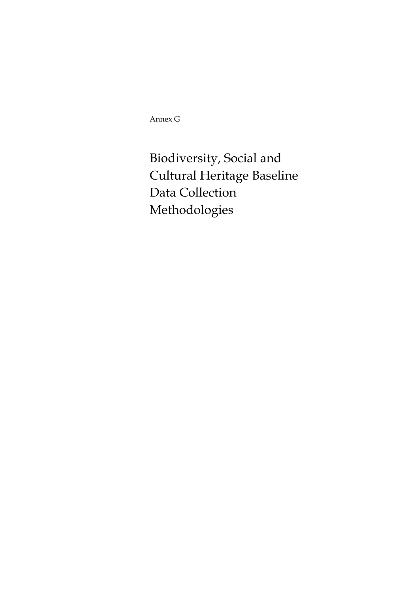Annex G

Biodiversity, Social and Cultural Heritage Baseline Data Collection Methodologies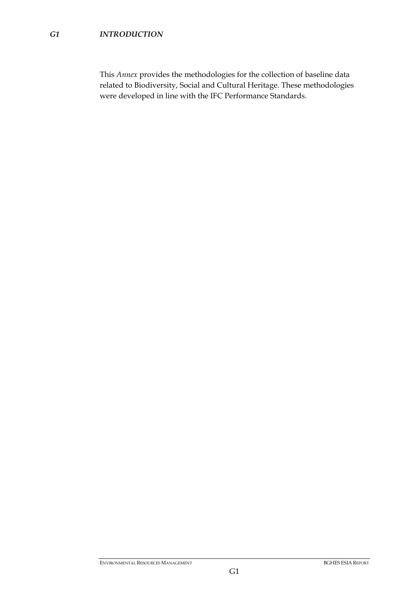This *Annex* provides the methodologies for the collection of baseline data related to Biodiversity, Social and Cultural Heritage. These methodologies were developed in line with the IFC Performance Standards.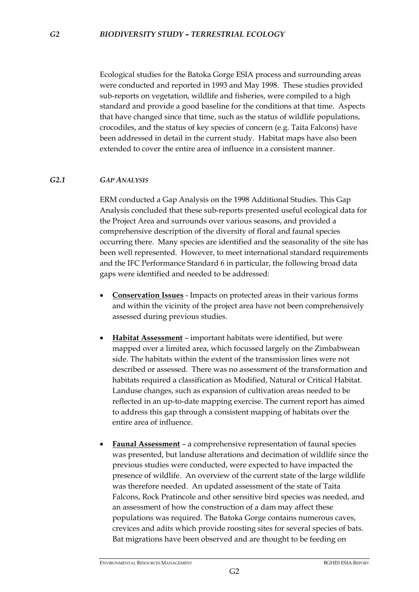Ecological studies for the Batoka Gorge ESIA process and surrounding areas were conducted and reported in 1993 and May 1998. These studies provided sub-reports on vegetation, wildlife and fisheries, were compiled to a high standard and provide a good baseline for the conditions at that time. Aspects that have changed since that time, such as the status of wildlife populations, crocodiles, and the status of key species of concern (e.g. Taita Falcons) have been addressed in detail in the current study. Habitat maps have also been extended to cover the entire area of influence in a consistent manner.

## *G2.1 GAP ANALYSIS*

ERM conducted a Gap Analysis on the 1998 Additional Studies. This Gap Analysis concluded that these sub-reports presented useful ecological data for the Project Area and surrounds over various seasons, and provided a comprehensive description of the diversity of floral and faunal species occurring there. Many species are identified and the seasonality of the site has been well represented. However, to meet international standard requirements and the IFC Performance Standard 6 in particular, the following broad data gaps were identified and needed to be addressed:

- **Conservation Issues** Impacts on protected areas in their various forms and within the vicinity of the project area have not been comprehensively assessed during previous studies.
- **Habitat Assessment** important habitats were identified, but were mapped over a limited area, which focussed largely on the Zimbabwean side. The habitats within the extent of the transmission lines were not described or assessed. There was no assessment of the transformation and habitats required a classification as Modified, Natural or Critical Habitat. Landuse changes, such as expansion of cultivation areas needed to be reflected in an up-to-date mapping exercise. The current report has aimed to address this gap through a consistent mapping of habitats over the entire area of influence.
- **Faunal Assessment** a comprehensive representation of faunal species was presented, but landuse alterations and decimation of wildlife since the previous studies were conducted, were expected to have impacted the presence of wildlife. An overview of the current state of the large wildlife was therefore needed. An updated assessment of the state of Taita Falcons, Rock Pratincole and other sensitive bird species was needed, and an assessment of how the construction of a dam may affect these populations was required. The Batoka Gorge contains numerous caves, crevices and adits which provide roosting sites for several species of bats. Bat migrations have been observed and are thought to be feeding on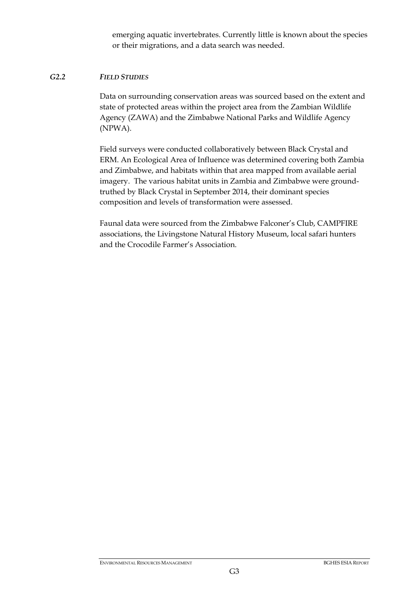emerging aquatic invertebrates. Currently little is known about the species or their migrations, and a data search was needed.

## *G2.2 FIELD STUDIES*

Data on surrounding conservation areas was sourced based on the extent and state of protected areas within the project area from the Zambian Wildlife Agency (ZAWA) and the Zimbabwe National Parks and Wildlife Agency (NPWA).

Field surveys were conducted collaboratively between Black Crystal and ERM. An Ecological Area of Influence was determined covering both Zambia and Zimbabwe, and habitats within that area mapped from available aerial imagery. The various habitat units in Zambia and Zimbabwe were groundtruthed by Black Crystal in September 2014, their dominant species composition and levels of transformation were assessed.

Faunal data were sourced from the Zimbabwe Falconer's Club, CAMPFIRE associations, the Livingstone Natural History Museum, local safari hunters and the Crocodile Farmer's Association.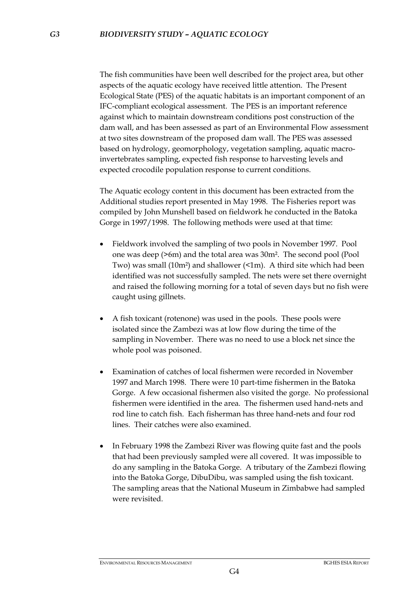The fish communities have been well described for the project area, but other aspects of the aquatic ecology have received little attention. The Present Ecological State (PES) of the aquatic habitats is an important component of an IFC-compliant ecological assessment. The PES is an important reference against which to maintain downstream conditions post construction of the dam wall, and has been assessed as part of an Environmental Flow assessment at two sites downstream of the proposed dam wall. The PES was assessed based on hydrology, geomorphology, vegetation sampling, aquatic macroinvertebrates sampling, expected fish response to harvesting levels and expected crocodile population response to current conditions.

The Aquatic ecology content in this document has been extracted from the Additional studies report presented in May 1998. The Fisheries report was compiled by John Munshell based on fieldwork he conducted in the Batoka Gorge in 1997/1998. The following methods were used at that time:

- Fieldwork involved the sampling of two pools in November 1997. Pool one was deep (>6m) and the total area was 30m². The second pool (Pool Two) was small (10m²) and shallower (<1m). A third site which had been identified was not successfully sampled. The nets were set there overnight and raised the following morning for a total of seven days but no fish were caught using gillnets.
- A fish toxicant (rotenone) was used in the pools. These pools were isolated since the Zambezi was at low flow during the time of the sampling in November. There was no need to use a block net since the whole pool was poisoned.
- Examination of catches of local fishermen were recorded in November 1997 and March 1998. There were 10 part-time fishermen in the Batoka Gorge. A few occasional fishermen also visited the gorge. No professional fishermen were identified in the area. The fishermen used hand-nets and rod line to catch fish. Each fisherman has three hand-nets and four rod lines. Their catches were also examined.
- In February 1998 the Zambezi River was flowing quite fast and the pools that had been previously sampled were all covered. It was impossible to do any sampling in the Batoka Gorge. A tributary of the Zambezi flowing into the Batoka Gorge, DibuDibu, was sampled using the fish toxicant. The sampling areas that the National Museum in Zimbabwe had sampled were revisited.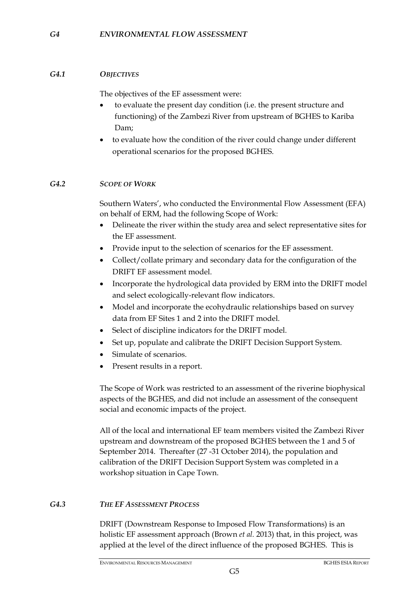# *G4.1 OBJECTIVES*

The objectives of the EF assessment were:

- to evaluate the present day condition (i.e. the present structure and functioning) of the Zambezi River from upstream of BGHES to Kariba Dam;
- to evaluate how the condition of the river could change under different operational scenarios for the proposed BGHES.

## *G4.2 SCOPE OF WORK*

Southern Waters', who conducted the Environmental Flow Assessment (EFA) on behalf of ERM, had the following Scope of Work:

- Delineate the river within the study area and select representative sites for the EF assessment.
- Provide input to the selection of scenarios for the EF assessment.
- Collect/collate primary and secondary data for the configuration of the DRIFT EF assessment model.
- Incorporate the hydrological data provided by ERM into the DRIFT model and select ecologically-relevant flow indicators.
- Model and incorporate the ecohydraulic relationships based on survey data from EF Sites 1 and 2 into the DRIFT model.
- Select of discipline indicators for the DRIFT model.
- Set up, populate and calibrate the DRIFT Decision Support System.
- Simulate of scenarios.
- Present results in a report.

The Scope of Work was restricted to an assessment of the riverine biophysical aspects of the BGHES, and did not include an assessment of the consequent social and economic impacts of the project.

All of the local and international EF team members visited the Zambezi River upstream and downstream of the proposed BGHES between the 1 and 5 of September 2014. Thereafter (27 -31 October 2014), the population and calibration of the DRIFT Decision Support System was completed in a workshop situation in Cape Town.

## *G4.3 THE EF ASSESSMENT PROCESS*

DRIFT (Downstream Response to Imposed Flow Transformations) is an holistic EF assessment approach (Brown *et al.* 2013) that, in this project, was applied at the level of the direct influence of the proposed BGHES. This is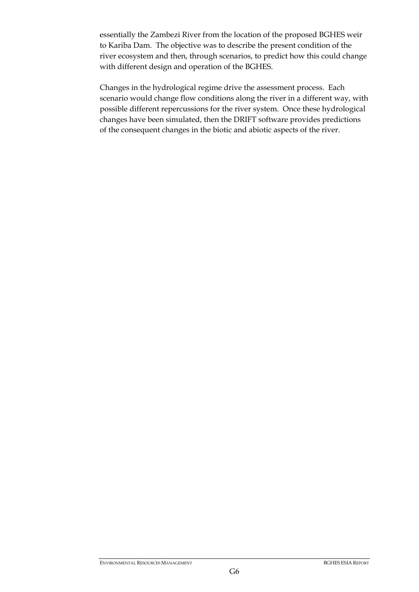essentially the Zambezi River from the location of the proposed BGHES weir to Kariba Dam. The objective was to describe the present condition of the river ecosystem and then, through scenarios, to predict how this could change with different design and operation of the BGHES.

Changes in the hydrological regime drive the assessment process. Each scenario would change flow conditions along the river in a different way, with possible different repercussions for the river system. Once these hydrological changes have been simulated, then the DRIFT software provides predictions of the consequent changes in the biotic and abiotic aspects of the river.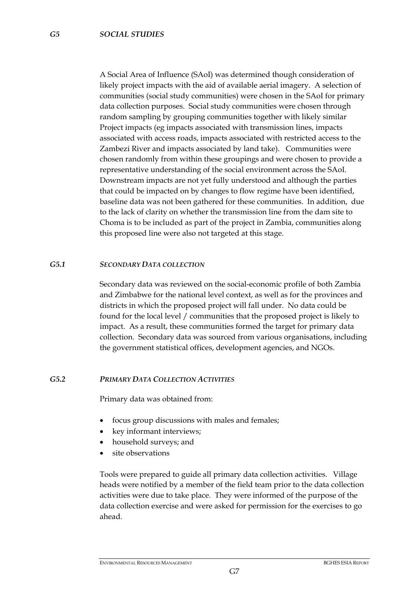A Social Area of Influence (SAoI) was determined though consideration of likely project impacts with the aid of available aerial imagery. A selection of communities (social study communities) were chosen in the SAoI for primary data collection purposes. Social study communities were chosen through random sampling by grouping communities together with likely similar Project impacts (eg impacts associated with transmission lines, impacts associated with access roads, impacts associated with restricted access to the Zambezi River and impacts associated by land take). Communities were chosen randomly from within these groupings and were chosen to provide a representative understanding of the social environment across the SAoI. Downstream impacts are not yet fully understood and although the parties that could be impacted on by changes to flow regime have been identified, baseline data was not been gathered for these communities. In addition, due to the lack of clarity on whether the transmission line from the dam site to Choma is to be included as part of the project in Zambia, communities along this proposed line were also not targeted at this stage.

### *G5.1 SECONDARY DATA COLLECTION*

Secondary data was reviewed on the social-economic profile of both Zambia and Zimbabwe for the national level context, as well as for the provinces and districts in which the proposed project will fall under. No data could be found for the local level / communities that the proposed project is likely to impact. As a result, these communities formed the target for primary data collection. Secondary data was sourced from various organisations, including the government statistical offices, development agencies, and NGOs.

#### *G5.2 PRIMARY DATA COLLECTION ACTIVITIES*

Primary data was obtained from:

- focus group discussions with males and females;
- key informant interviews;
- household surveys; and
- site observations

Tools were prepared to guide all primary data collection activities. Village heads were notified by a member of the field team prior to the data collection activities were due to take place. They were informed of the purpose of the data collection exercise and were asked for permission for the exercises to go ahead.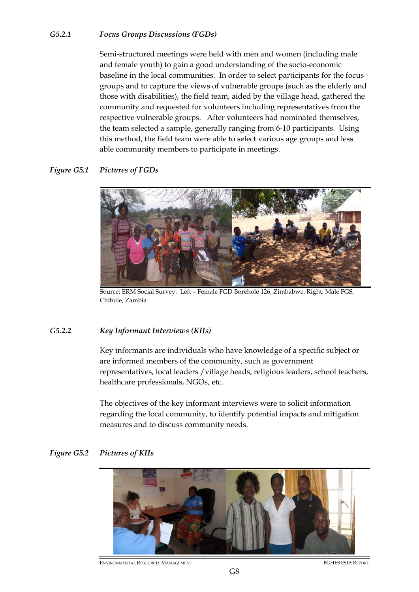## *G5.2.1 Focus Groups Discussions (FGDs)*

Semi-structured meetings were held with men and women (including male and female youth) to gain a good understanding of the socio-economic baseline in the local communities. In order to select participants for the focus groups and to capture the views of vulnerable groups (such as the elderly and those with disabilities), the field team, aided by the village head, gathered the community and requested for volunteers including representatives from the respective vulnerable groups. After volunteers had nominated themselves, the team selected a sample, generally ranging from 6-10 participants. Using this method, the field team were able to select various age groups and less able community members to participate in meetings.

### *Figure G5.1 Pictures of FGDs*



Source: ERM Social Survey. Left – Female FGD Borehole 126, Zimbabwe. Right: Male FGS, Chibule, Zambia

#### *G5.2.2 Key Informant Interviews (KIIs)*

Key informants are individuals who have knowledge of a specific subject or are informed members of the community, such as government representatives, local leaders /village heads, religious leaders, school teachers, healthcare professionals, NGOs, etc.

The objectives of the key informant interviews were to solicit information regarding the local community, to identify potential impacts and mitigation measures and to discuss community needs.



#### *Figure G5.2 Pictures of KIIs*

ENVIRONMENTAL RESOURCES MANAGEMENT BGHES ESIA REPORT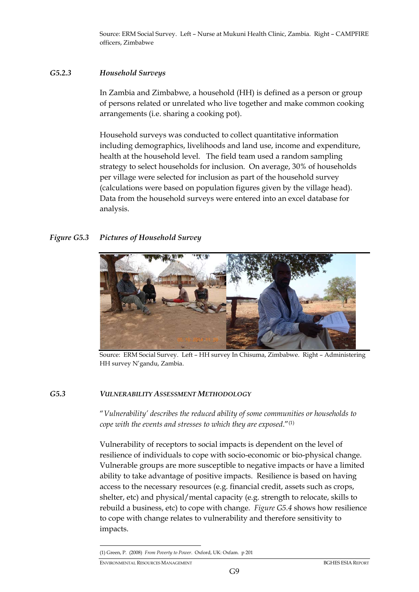Source: ERM Social Survey. Left – Nurse at Mukuni Health Clinic, Zambia. Right – CAMPFIRE officers, Zimbabwe

## *G5.2.3 Household Surveys*

In Zambia and Zimbabwe, a household (HH) is defined as a person or group of persons related or unrelated who live together and make common cooking arrangements (i.e. sharing a cooking pot).

Household surveys was conducted to collect quantitative information including demographics, livelihoods and land use, income and expenditure, health at the household level. The field team used a random sampling strategy to select households for inclusion. On average, 30% of households per village were selected for inclusion as part of the household survey (calculations were based on population figures given by the village head). Data from the household surveys were entered into an excel database for analysis.

# *Figure G5.3 Pictures of Household Survey*



Source: ERM Social Survey. Left – HH survey In Chisuma, Zimbabwe. Right – Administering HH survey N'gandu, Zambia.

# *G5.3 VULNERABILITY ASSESSMENT METHODOLOGY*

"*Vulnerability' describes the reduced ability of some communities or households to cope with the events and stresses to which they are exposed*."(1)

Vulnerability of receptors to social impacts is dependent on the level of resilience of individuals to cope with socio-economic or bio-physical change. Vulnerable groups are more susceptible to negative impacts or have a limited ability to take advantage of positive impacts. Resilience is based on having access to the necessary resources (e.g. financial credit, assets such as crops, shelter, etc) and physical/mental capacity (e.g. strength to relocate, skills to rebuild a business, etc) to cope with change. *Figure G5.4* shows how resilience to cope with change relates to vulnerability and therefore sensitivity to impacts.

(1) Green, P. (2008) *From Poverty to Power*. Oxford, UK: Oxfam. p 201

-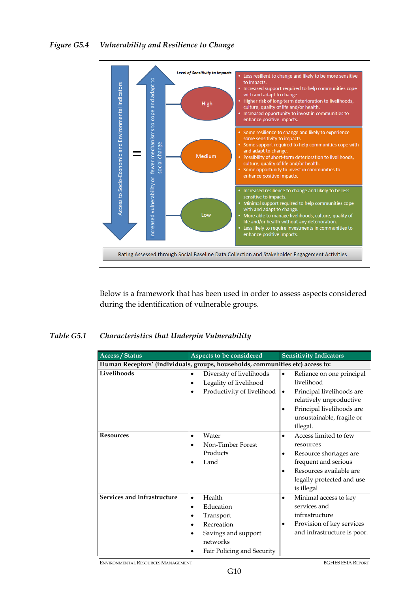

Below is a framework that has been used in order to assess aspects considered during the identification of vulnerable groups.

# *Table G5.1 Characteristics that Underpin Vulnerability*

| <b>Access / Status</b>                                                         | Aspects to be considered   | <b>Sensitivity Indicators</b>          |  |  |  |  |
|--------------------------------------------------------------------------------|----------------------------|----------------------------------------|--|--|--|--|
| Human Receptors' (individuals, groups, households, communities etc) access to: |                            |                                        |  |  |  |  |
| Livelihoods                                                                    | Diversity of livelihoods   | Reliance on one principal<br>$\bullet$ |  |  |  |  |
|                                                                                | Legality of livelihood     | livelihood                             |  |  |  |  |
|                                                                                | Productivity of livelihood | Principal livelihoods are<br>٠         |  |  |  |  |
|                                                                                |                            | relatively unproductive                |  |  |  |  |
|                                                                                |                            | Principal livelihoods are<br>٠         |  |  |  |  |
|                                                                                |                            | unsustainable, fragile or              |  |  |  |  |
|                                                                                |                            | illegal.                               |  |  |  |  |
| <b>Resources</b>                                                               | Water<br>$\bullet$         | Access limited to few<br>$\bullet$     |  |  |  |  |
|                                                                                | Non-Timber Forest          | resources                              |  |  |  |  |
|                                                                                | Products                   | Resource shortages are                 |  |  |  |  |
|                                                                                | Land                       | frequent and serious                   |  |  |  |  |
|                                                                                |                            | Resources available are                |  |  |  |  |
|                                                                                |                            | legally protected and use              |  |  |  |  |
|                                                                                |                            | is illegal                             |  |  |  |  |
| Services and infrastructure                                                    | Health<br>$\bullet$        | Minimal access to key<br>$\bullet$     |  |  |  |  |
|                                                                                | Education                  | services and                           |  |  |  |  |
|                                                                                | Transport                  | infrastructure                         |  |  |  |  |
|                                                                                | Recreation                 | Provision of key services<br>٠         |  |  |  |  |
|                                                                                | Savings and support        | and infrastructure is poor.            |  |  |  |  |
|                                                                                | networks                   |                                        |  |  |  |  |
|                                                                                | Fair Policing and Security |                                        |  |  |  |  |

ENVIRONMENTAL RESOURCES MANAGEMENT BGHES ESIA REPORT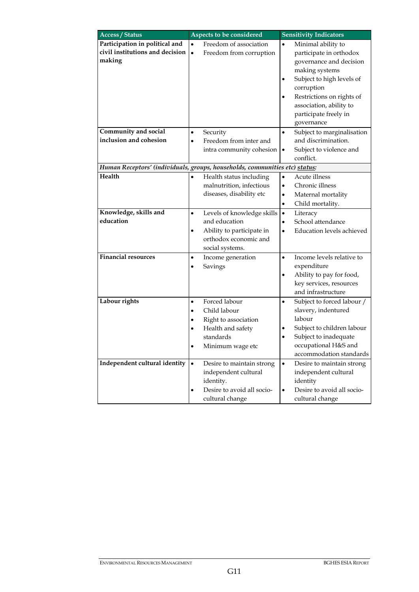| <b>Access / Status</b>                                                      | Aspects to be considered |                                         | <b>Sensitivity Indicators</b> |                                               |  |  |
|-----------------------------------------------------------------------------|--------------------------|-----------------------------------------|-------------------------------|-----------------------------------------------|--|--|
| Participation in political and                                              | $\bullet$                | Freedom of association                  | $\bullet$                     | Minimal ability to                            |  |  |
| civil institutions and decision                                             | $\bullet$                | Freedom from corruption                 |                               | participate in orthodox                       |  |  |
| making                                                                      |                          |                                         |                               | governance and decision                       |  |  |
|                                                                             |                          |                                         |                               | making systems                                |  |  |
|                                                                             |                          |                                         |                               | Subject to high levels of                     |  |  |
|                                                                             |                          |                                         |                               | corruption                                    |  |  |
|                                                                             |                          |                                         |                               | Restrictions on rights of                     |  |  |
|                                                                             |                          |                                         |                               | association, ability to                       |  |  |
|                                                                             |                          |                                         |                               | participate freely in                         |  |  |
|                                                                             |                          |                                         |                               | governance                                    |  |  |
| Community and social                                                        | $\bullet$                | Security                                | $\bullet$                     | Subject to marginalisation                    |  |  |
| inclusion and cohesion                                                      | $\bullet$                | Freedom from inter and                  |                               | and discrimination.                           |  |  |
|                                                                             |                          | intra community cohesion                | $\bullet$                     | Subject to violence and                       |  |  |
|                                                                             |                          |                                         |                               | conflict.                                     |  |  |
| Human Receptors' (individuals, groups, households, communities etc) status: |                          |                                         |                               |                                               |  |  |
| Health                                                                      | $\bullet$                | Health status including                 | ٠                             | Acute illness                                 |  |  |
|                                                                             |                          | malnutrition, infectious                | $\bullet$                     | Chronic illness                               |  |  |
|                                                                             |                          | diseases, disability etc                | ٠                             | Maternal mortality                            |  |  |
|                                                                             |                          |                                         | $\bullet$                     | Child mortality.                              |  |  |
| Knowledge, skills and                                                       | $\bullet$                | Levels of knowledge skills              | $\bullet$                     | Literacy                                      |  |  |
| education                                                                   |                          | and education                           | $\bullet$                     | School attendance                             |  |  |
|                                                                             | $\bullet$                | Ability to participate in               |                               | Education levels achieved                     |  |  |
|                                                                             |                          | orthodox economic and                   |                               |                                               |  |  |
|                                                                             |                          | social systems.                         |                               |                                               |  |  |
| <b>Financial resources</b>                                                  | $\bullet$                | Income generation                       | $\bullet$                     | Income levels relative to                     |  |  |
|                                                                             | $\bullet$                | Savings                                 |                               | expenditure                                   |  |  |
|                                                                             |                          |                                         | $\bullet$                     | Ability to pay for food,                      |  |  |
|                                                                             |                          |                                         |                               | key services, resources                       |  |  |
|                                                                             |                          |                                         |                               | and infrastructure                            |  |  |
| Labour rights                                                               | $\bullet$                | Forced labour                           | $\bullet$                     | Subject to forced labour /                    |  |  |
|                                                                             | $\bullet$                | Child labour                            |                               | slavery, indentured<br>labour                 |  |  |
|                                                                             | $\bullet$                | Right to association                    |                               |                                               |  |  |
|                                                                             |                          | Health and safety<br>standards          |                               | Subject to children labour                    |  |  |
|                                                                             |                          |                                         |                               | Subject to inadequate<br>occupational H&S and |  |  |
|                                                                             | ٠                        | Minimum wage etc                        |                               | accommodation standards                       |  |  |
| Independent cultural identity                                               |                          |                                         |                               |                                               |  |  |
|                                                                             | $\bullet$                | Desire to maintain strong               | $\bullet$                     | Desire to maintain strong                     |  |  |
|                                                                             |                          | independent cultural                    |                               | independent cultural                          |  |  |
|                                                                             | $\bullet$                | identity.<br>Desire to avoid all socio- | $\bullet$                     | identity<br>Desire to avoid all socio-        |  |  |
|                                                                             |                          |                                         |                               |                                               |  |  |
|                                                                             |                          | cultural change                         |                               | cultural change                               |  |  |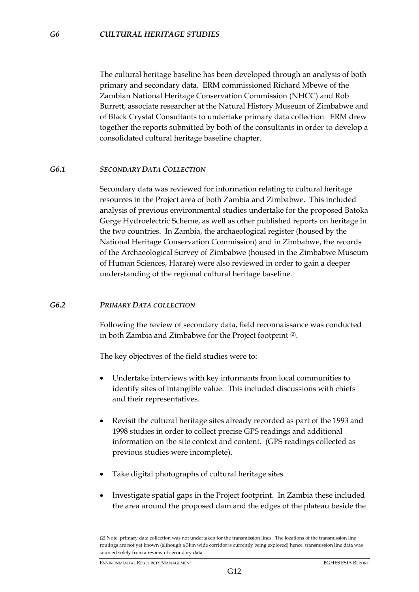The cultural heritage baseline has been developed through an analysis of both primary and secondary data. ERM commissioned Richard Mbewe of the Zambian National Heritage Conservation Commission (NHCC) and Rob Burrett, associate researcher at the Natural History Museum of Zimbabwe and of Black Crystal Consultants to undertake primary data collection. ERM drew together the reports submitted by both of the consultants in order to develop a consolidated cultural heritage baseline chapter.

### *G6.1 SECONDARY DATA COLLECTION*

Secondary data was reviewed for information relating to cultural heritage resources in the Project area of both Zambia and Zimbabwe. This included analysis of previous environmental studies undertake for the proposed Batoka Gorge Hydroelectric Scheme, as well as other published reports on heritage in the two countries. In Zambia, the archaeological register (housed by the National Heritage Conservation Commission) and in Zimbabwe, the records of the Archaeological Survey of Zimbabwe (housed in the Zimbabwe Museum of Human Sciences, Harare) were also reviewed in order to gain a deeper understanding of the regional cultural heritage baseline.

#### *G6.2 PRIMARY DATA COLLECTION*

Following the review of secondary data, field reconnaissance was conducted in both Zambia and Zimbabwe for the Project footprint (2).

The key objectives of the field studies were to:

- Undertake interviews with key informants from local communities to identify sites of intangible value. This included discussions with chiefs and their representatives.
- Revisit the cultural heritage sites already recorded as part of the 1993 and 1998 studies in order to collect precise GPS readings and additional information on the site context and content. (GPS readings collected as previous studies were incomplete).
- Take digital photographs of cultural heritage sites.
- Investigate spatial gaps in the Project footprint. In Zambia these included the area around the proposed dam and the edges of the plateau beside the

<u>.</u>

<sup>(2)</sup> Note: primary data collection was not undertaken for the transmission lines. The locations of the transmission line routings are not yet known (although a 3km wide corridor is currently being explored) hence, transmission line data was sourced solely from a review of secondary data.